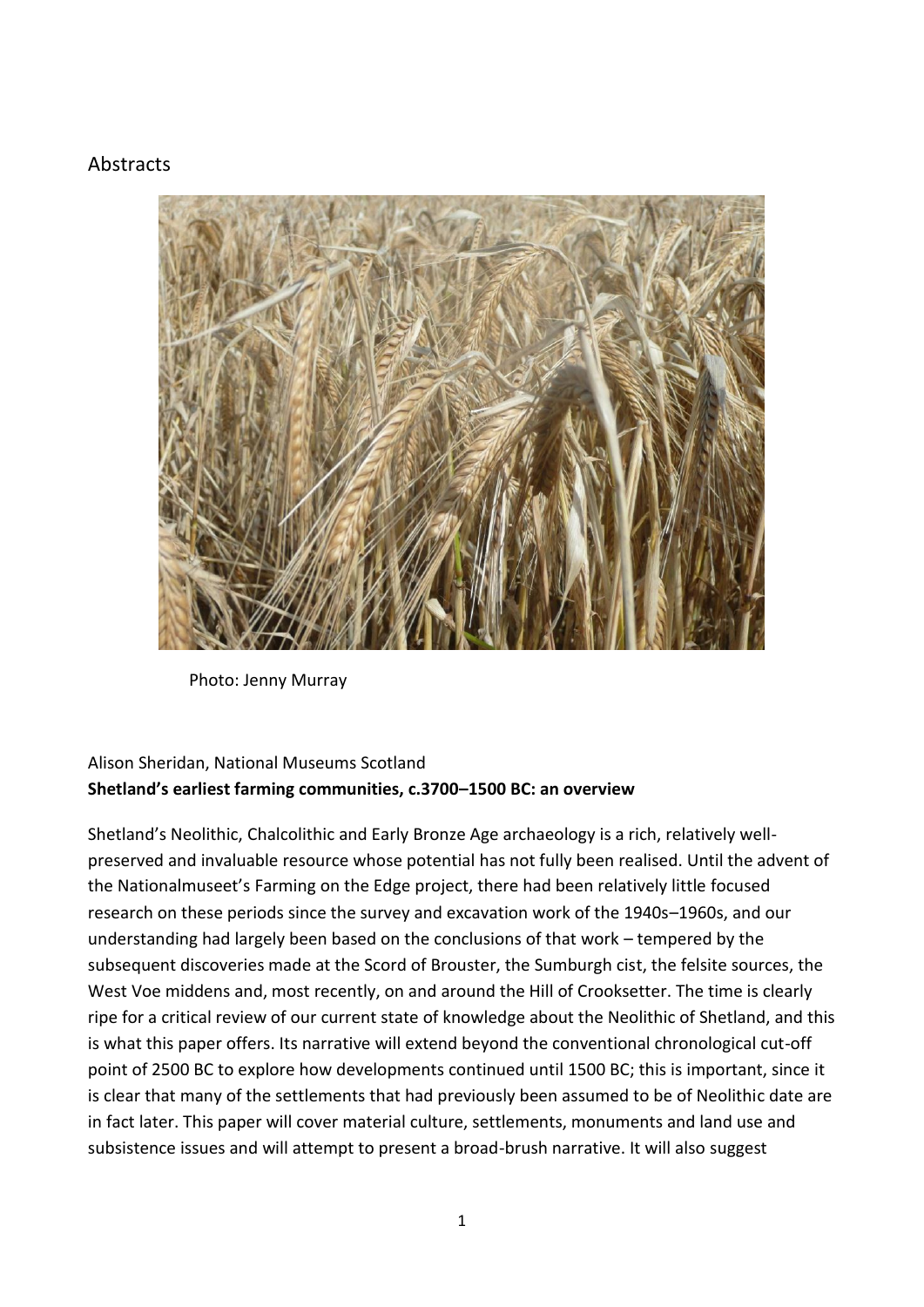#### Abstracts



Photo: Jenny Murray

#### Alison Sheridan, National Museums Scotland **Shetland's earliest farming communities, c.3700–1500 BC: an overview**

Shetland's Neolithic, Chalcolithic and Early Bronze Age archaeology is a rich, relatively wellpreserved and invaluable resource whose potential has not fully been realised. Until the advent of the Nationalmuseet's Farming on the Edge project, there had been relatively little focused research on these periods since the survey and excavation work of the 1940s–1960s, and our understanding had largely been based on the conclusions of that work – tempered by the subsequent discoveries made at the Scord of Brouster, the Sumburgh cist, the felsite sources, the West Voe middens and, most recently, on and around the Hill of Crooksetter. The time is clearly ripe for a critical review of our current state of knowledge about the Neolithic of Shetland, and this is what this paper offers. Its narrative will extend beyond the conventional chronological cut-off point of 2500 BC to explore how developments continued until 1500 BC; this is important, since it is clear that many of the settlements that had previously been assumed to be of Neolithic date are in fact later. This paper will cover material culture, settlements, monuments and land use and subsistence issues and will attempt to present a broad-brush narrative. It will also suggest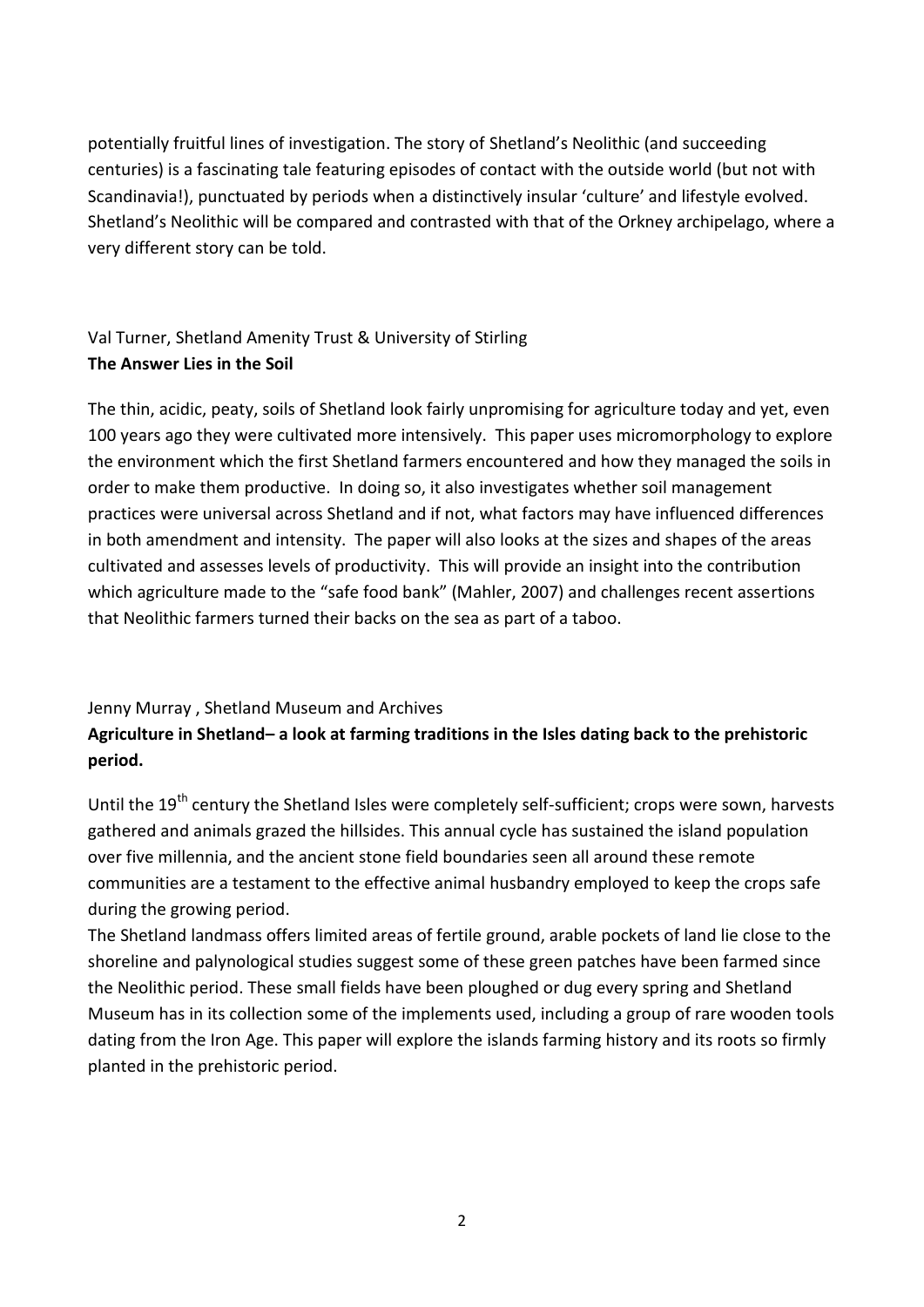potentially fruitful lines of investigation. The story of Shetland's Neolithic (and succeeding centuries) is a fascinating tale featuring episodes of contact with the outside world (but not with Scandinavia!), punctuated by periods when a distinctively insular 'culture' and lifestyle evolved. Shetland's Neolithic will be compared and contrasted with that of the Orkney archipelago, where a very different story can be told.

# Val Turner, Shetland Amenity Trust & University of Stirling **The Answer Lies in the Soil**

The thin, acidic, peaty, soils of Shetland look fairly unpromising for agriculture today and yet, even 100 years ago they were cultivated more intensively. This paper uses micromorphology to explore the environment which the first Shetland farmers encountered and how they managed the soils in order to make them productive. In doing so, it also investigates whether soil management practices were universal across Shetland and if not, what factors may have influenced differences in both amendment and intensity. The paper will also looks at the sizes and shapes of the areas cultivated and assesses levels of productivity. This will provide an insight into the contribution which agriculture made to the "safe food bank" (Mahler, 2007) and challenges recent assertions that Neolithic farmers turned their backs on the sea as part of a taboo.

#### Jenny Murray , Shetland Museum and Archives

#### **Agriculture in Shetland– a look at farming traditions in the Isles dating back to the prehistoric period.**

Until the 19<sup>th</sup> century the Shetland Isles were completely self-sufficient; crops were sown, harvests gathered and animals grazed the hillsides. This annual cycle has sustained the island population over five millennia, and the ancient stone field boundaries seen all around these remote communities are a testament to the effective animal husbandry employed to keep the crops safe during the growing period.

The Shetland landmass offers limited areas of fertile ground, arable pockets of land lie close to the shoreline and palynological studies suggest some of these green patches have been farmed since the Neolithic period. These small fields have been ploughed or dug every spring and Shetland Museum has in its collection some of the implements used, including a group of rare wooden tools dating from the Iron Age. This paper will explore the islands farming history and its roots so firmly planted in the prehistoric period.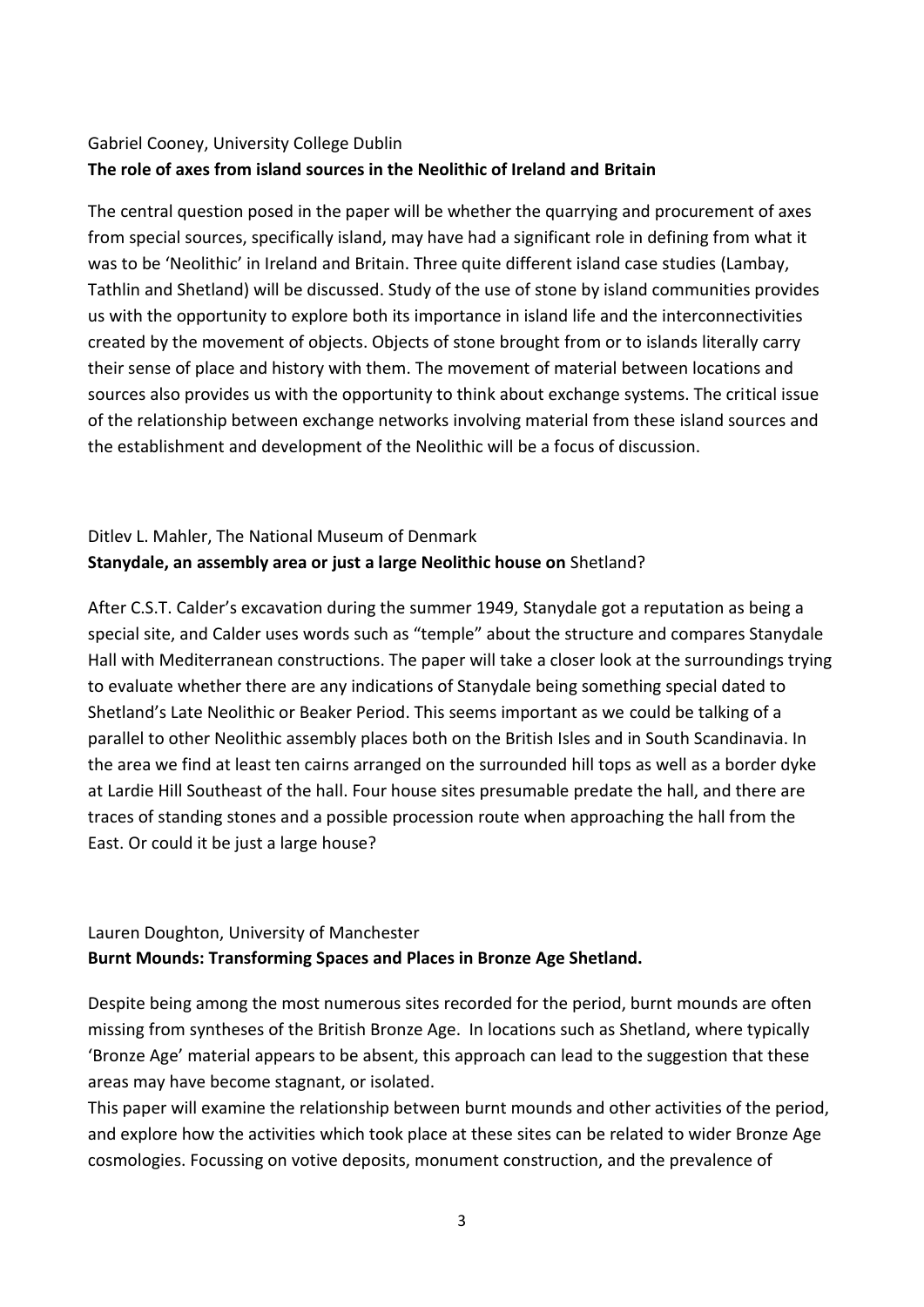## Gabriel Cooney, University College Dublin **The role of axes from island sources in the Neolithic of Ireland and Britain**

The central question posed in the paper will be whether the quarrying and procurement of axes from special sources, specifically island, may have had a significant role in defining from what it was to be 'Neolithic' in Ireland and Britain. Three quite different island case studies (Lambay, Tathlin and Shetland) will be discussed. Study of the use of stone by island communities provides us with the opportunity to explore both its importance in island life and the interconnectivities created by the movement of objects. Objects of stone brought from or to islands literally carry their sense of place and history with them. The movement of material between locations and sources also provides us with the opportunity to think about exchange systems. The critical issue of the relationship between exchange networks involving material from these island sources and the establishment and development of the Neolithic will be a focus of discussion.

# Ditlev L. Mahler, The National Museum of Denmark **Stanydale, an assembly area or just a large Neolithic house on** Shetland?

After C.S.T. Calder's excavation during the summer 1949, Stanydale got a reputation as being a special site, and Calder uses words such as "temple" about the structure and compares Stanydale Hall with Mediterranean constructions. The paper will take a closer look at the surroundings trying to evaluate whether there are any indications of Stanydale being something special dated to Shetland's Late Neolithic or Beaker Period. This seems important as we could be talking of a parallel to other Neolithic assembly places both on the British Isles and in South Scandinavia. In the area we find at least ten cairns arranged on the surrounded hill tops as well as a border dyke at Lardie Hill Southeast of the hall. Four house sites presumable predate the hall, and there are traces of standing stones and a possible procession route when approaching the hall from the East. Or could it be just a large house?

#### Lauren Doughton, University of Manchester **Burnt Mounds: Transforming Spaces and Places in Bronze Age Shetland.**

Despite being among the most numerous sites recorded for the period, burnt mounds are often missing from syntheses of the British Bronze Age. In locations such as Shetland, where typically 'Bronze Age' material appears to be absent, this approach can lead to the suggestion that these areas may have become stagnant, or isolated.

This paper will examine the relationship between burnt mounds and other activities of the period, and explore how the activities which took place at these sites can be related to wider Bronze Age cosmologies. Focussing on votive deposits, monument construction, and the prevalence of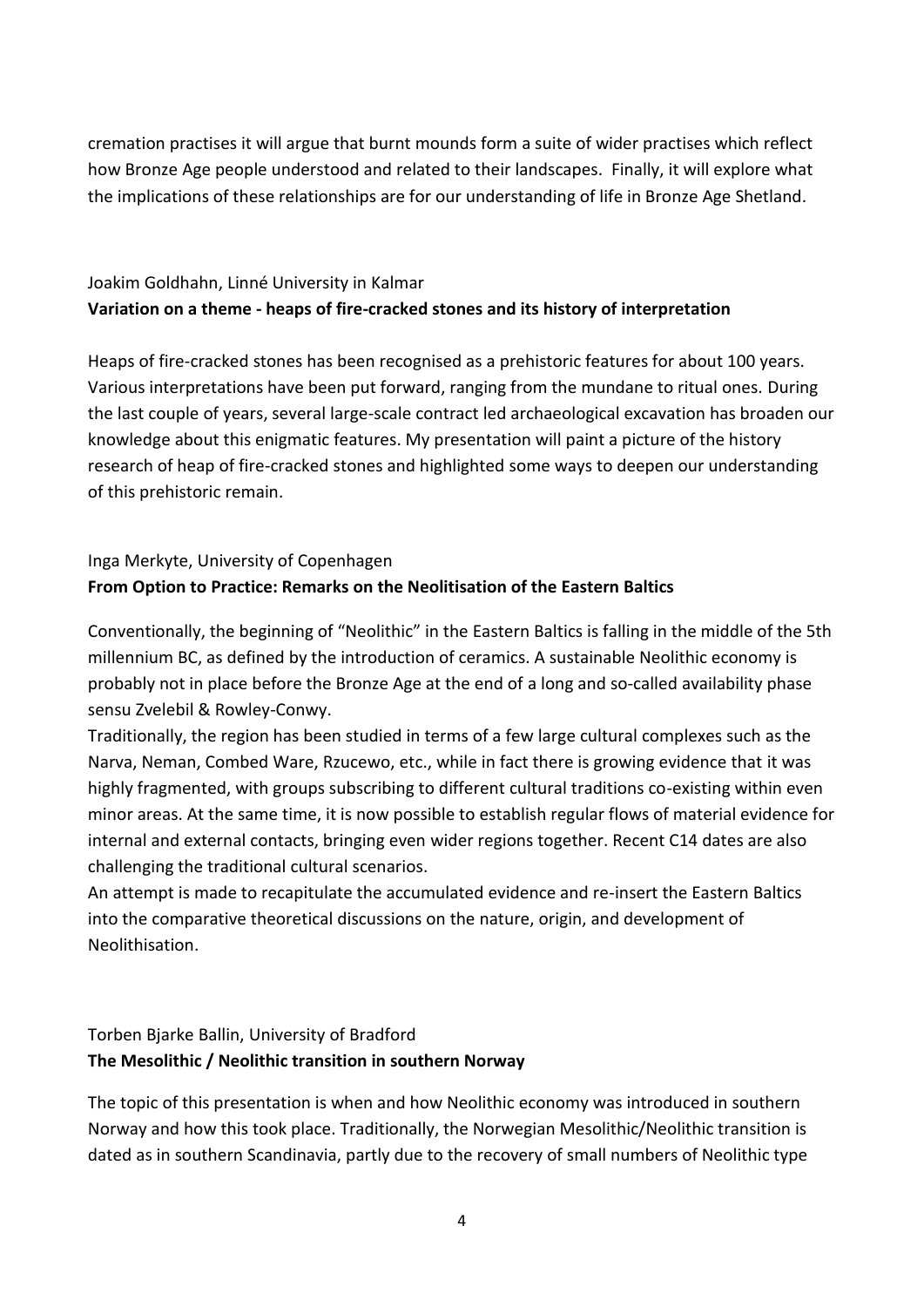cremation practises it will argue that burnt mounds form a suite of wider practises which reflect how Bronze Age people understood and related to their landscapes. Finally, it will explore what the implications of these relationships are for our understanding of life in Bronze Age Shetland.

# Joakim Goldhahn, Linné University in Kalmar **Variation on a theme - heaps of fire-cracked stones and its history of interpretation**

Heaps of fire-cracked stones has been recognised as a prehistoric features for about 100 years. Various interpretations have been put forward, ranging from the mundane to ritual ones. During the last couple of years, several large-scale contract led archaeological excavation has broaden our knowledge about this enigmatic features. My presentation will paint a picture of the history research of heap of fire-cracked stones and highlighted some ways to deepen our understanding of this prehistoric remain.

## Inga Merkyte, University of Copenhagen **From Option to Practice: Remarks on the Neolitisation of the Eastern Baltics**

Conventionally, the beginning of "Neolithic" in the Eastern Baltics is falling in the middle of the 5th millennium BC, as defined by the introduction of ceramics. A sustainable Neolithic economy is probably not in place before the Bronze Age at the end of a long and so-called availability phase sensu Zvelebil & Rowley-Conwy.

Traditionally, the region has been studied in terms of a few large cultural complexes such as the Narva, Neman, Combed Ware, Rzucewo, etc., while in fact there is growing evidence that it was highly fragmented, with groups subscribing to different cultural traditions co-existing within even minor areas. At the same time, it is now possible to establish regular flows of material evidence for internal and external contacts, bringing even wider regions together. Recent C14 dates are also challenging the traditional cultural scenarios.

An attempt is made to recapitulate the accumulated evidence and re-insert the Eastern Baltics into the comparative theoretical discussions on the nature, origin, and development of Neolithisation.

#### Torben Bjarke Ballin, University of Bradford **The Mesolithic / Neolithic transition in southern Norway**

The topic of this presentation is when and how Neolithic economy was introduced in southern Norway and how this took place. Traditionally, the Norwegian Mesolithic/Neolithic transition is dated as in southern Scandinavia, partly due to the recovery of small numbers of Neolithic type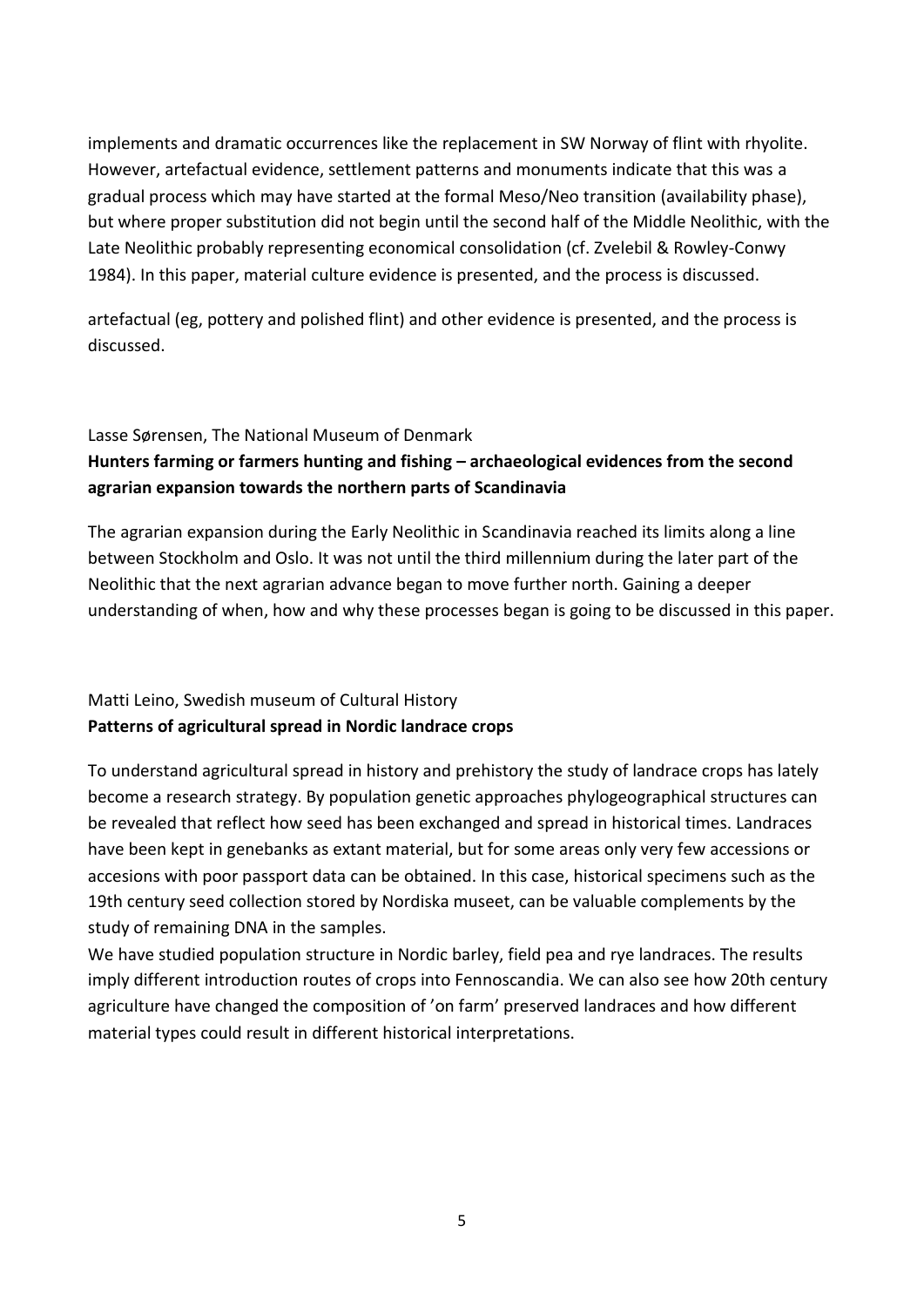implements and dramatic occurrences like the replacement in SW Norway of flint with rhyolite. However, artefactual evidence, settlement patterns and monuments indicate that this was a gradual process which may have started at the formal Meso/Neo transition (availability phase), but where proper substitution did not begin until the second half of the Middle Neolithic, with the Late Neolithic probably representing economical consolidation (cf. Zvelebil & Rowley-Conwy 1984). In this paper, material culture evidence is presented, and the process is discussed.

artefactual (eg, pottery and polished flint) and other evidence is presented, and the process is discussed.

#### Lasse Sørensen, The National Museum of Denmark

#### **Hunters farming or farmers hunting and fishing – archaeological evidences from the second agrarian expansion towards the northern parts of Scandinavia**

The agrarian expansion during the Early Neolithic in Scandinavia reached its limits along a line between Stockholm and Oslo. It was not until the third millennium during the later part of the Neolithic that the next agrarian advance began to move further north. Gaining a deeper understanding of when, how and why these processes began is going to be discussed in this paper.

#### Matti Leino, Swedish museum of Cultural History **Patterns of agricultural spread in Nordic landrace crops**

To understand agricultural spread in history and prehistory the study of landrace crops has lately become a research strategy. By population genetic approaches phylogeographical structures can be revealed that reflect how seed has been exchanged and spread in historical times. Landraces have been kept in genebanks as extant material, but for some areas only very few accessions or accesions with poor passport data can be obtained. In this case, historical specimens such as the 19th century seed collection stored by Nordiska museet, can be valuable complements by the study of remaining DNA in the samples.

We have studied population structure in Nordic barley, field pea and rye landraces. The results imply different introduction routes of crops into Fennoscandia. We can also see how 20th century agriculture have changed the composition of 'on farm' preserved landraces and how different material types could result in different historical interpretations.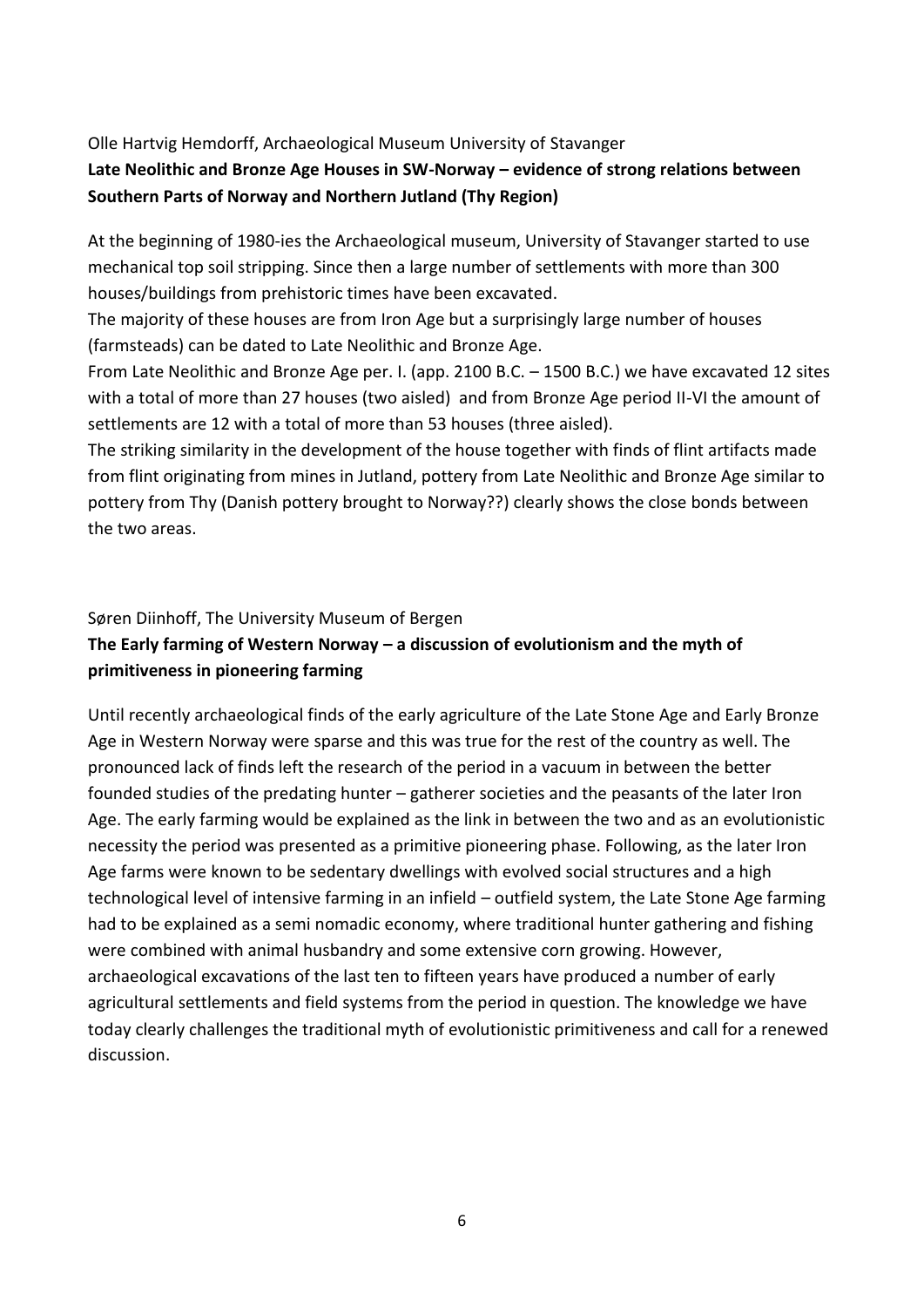## Olle Hartvig Hemdorff, Archaeological Museum University of Stavanger **Late Neolithic and Bronze Age Houses in SW-Norway – evidence of strong relations between Southern Parts of Norway and Northern Jutland (Thy Region)**

At the beginning of 1980-ies the Archaeological museum, University of Stavanger started to use mechanical top soil stripping. Since then a large number of settlements with more than 300 houses/buildings from prehistoric times have been excavated.

The majority of these houses are from Iron Age but a surprisingly large number of houses (farmsteads) can be dated to Late Neolithic and Bronze Age.

From Late Neolithic and Bronze Age per. I. (app. 2100 B.C. – 1500 B.C.) we have excavated 12 sites with a total of more than 27 houses (two aisled) and from Bronze Age period II-VI the amount of settlements are 12 with a total of more than 53 houses (three aisled).

The striking similarity in the development of the house together with finds of flint artifacts made from flint originating from mines in Jutland, pottery from Late Neolithic and Bronze Age similar to pottery from Thy (Danish pottery brought to Norway??) clearly shows the close bonds between the two areas.

Søren Diinhoff, The University Museum of Bergen

## **The Early farming of Western Norway – a discussion of evolutionism and the myth of primitiveness in pioneering farming**

Until recently archaeological finds of the early agriculture of the Late Stone Age and Early Bronze Age in Western Norway were sparse and this was true for the rest of the country as well. The pronounced lack of finds left the research of the period in a vacuum in between the better founded studies of the predating hunter – gatherer societies and the peasants of the later Iron Age. The early farming would be explained as the link in between the two and as an evolutionistic necessity the period was presented as a primitive pioneering phase. Following, as the later Iron Age farms were known to be sedentary dwellings with evolved social structures and a high technological level of intensive farming in an infield – outfield system, the Late Stone Age farming had to be explained as a semi nomadic economy, where traditional hunter gathering and fishing were combined with animal husbandry and some extensive corn growing. However, archaeological excavations of the last ten to fifteen years have produced a number of early agricultural settlements and field systems from the period in question. The knowledge we have today clearly challenges the traditional myth of evolutionistic primitiveness and call for a renewed discussion.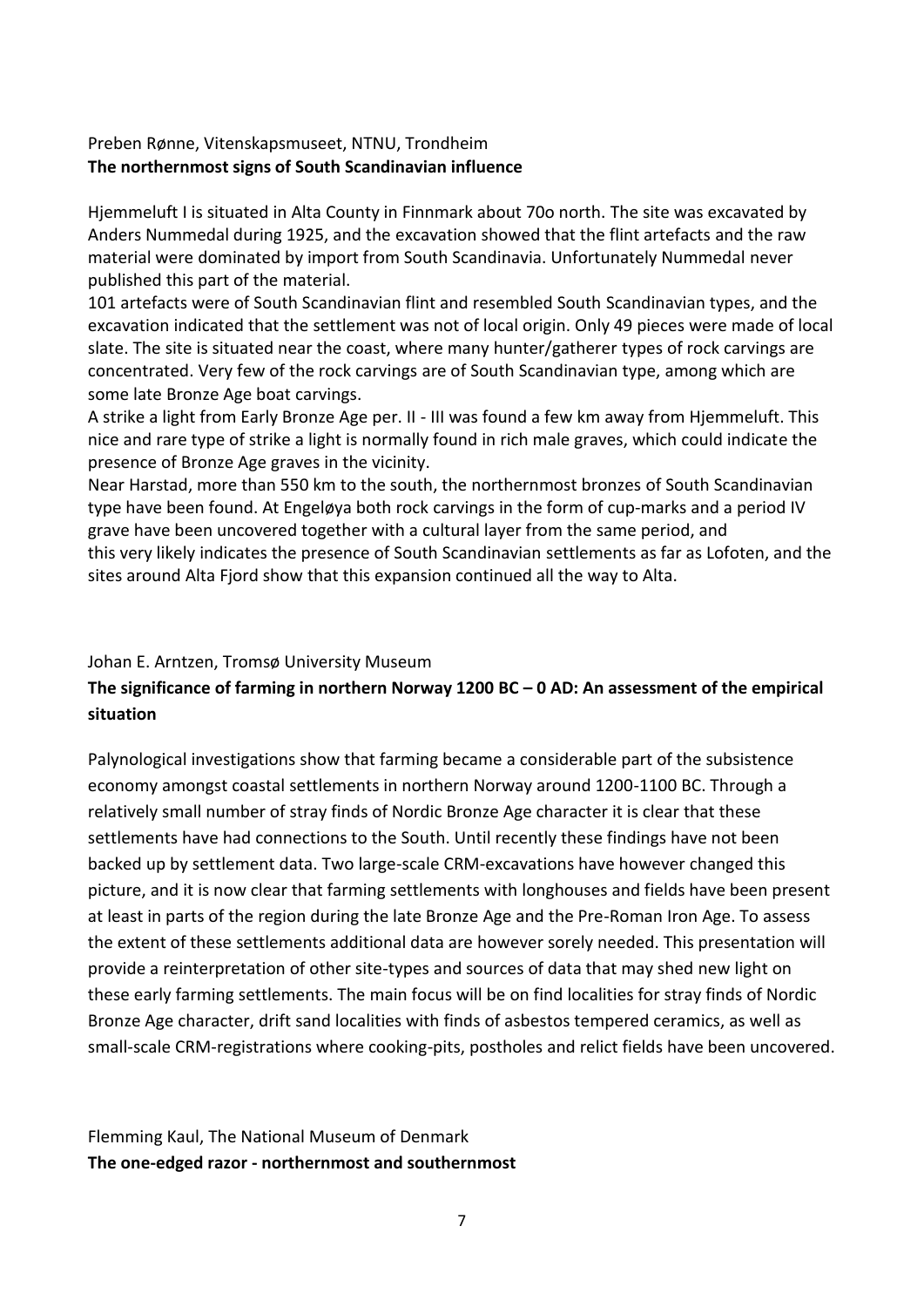#### Preben Rønne, Vitenskapsmuseet, NTNU, Trondheim **The northernmost signs of South Scandinavian influence**

Hjemmeluft I is situated in Alta County in Finnmark about 70o north. The site was excavated by Anders Nummedal during 1925, and the excavation showed that the flint artefacts and the raw material were dominated by import from South Scandinavia. Unfortunately Nummedal never published this part of the material.

101 artefacts were of South Scandinavian flint and resembled South Scandinavian types, and the excavation indicated that the settlement was not of local origin. Only 49 pieces were made of local slate. The site is situated near the coast, where many hunter/gatherer types of rock carvings are concentrated. Very few of the rock carvings are of South Scandinavian type, among which are some late Bronze Age boat carvings.

A strike a light from Early Bronze Age per. II - III was found a few km away from Hjemmeluft. This nice and rare type of strike a light is normally found in rich male graves, which could indicate the presence of Bronze Age graves in the vicinity.

Near Harstad, more than 550 km to the south, the northernmost bronzes of South Scandinavian type have been found. At Engeløya both rock carvings in the form of cup-marks and a period IV grave have been uncovered together with a cultural layer from the same period, and this very likely indicates the presence of South Scandinavian settlements as far as Lofoten, and the sites around Alta Fjord show that this expansion continued all the way to Alta.

#### Johan E. Arntzen, Tromsø University Museum

# **The significance of farming in northern Norway 1200 BC – 0 AD: An assessment of the empirical situation**

Palynological investigations show that farming became a considerable part of the subsistence economy amongst coastal settlements in northern Norway around 1200-1100 BC. Through a relatively small number of stray finds of Nordic Bronze Age character it is clear that these settlements have had connections to the South. Until recently these findings have not been backed up by settlement data. Two large-scale CRM-excavations have however changed this picture, and it is now clear that farming settlements with longhouses and fields have been present at least in parts of the region during the late Bronze Age and the Pre-Roman Iron Age. To assess the extent of these settlements additional data are however sorely needed. This presentation will provide a reinterpretation of other site-types and sources of data that may shed new light on these early farming settlements. The main focus will be on find localities for stray finds of Nordic Bronze Age character, drift sand localities with finds of asbestos tempered ceramics, as well as small-scale CRM-registrations where cooking-pits, postholes and relict fields have been uncovered.

Flemming Kaul, The National Museum of Denmark **The one-edged razor - northernmost and southernmost**